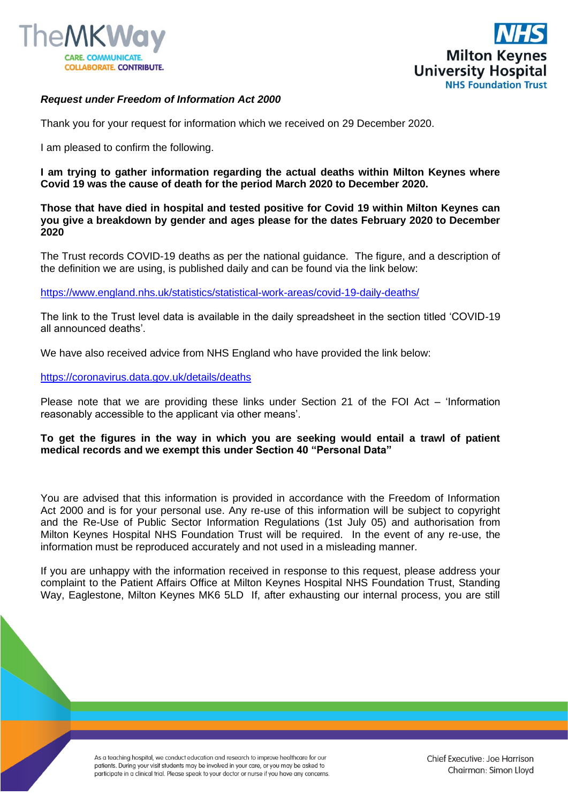



## *Request under Freedom of Information Act 2000*

Thank you for your request for information which we received on 29 December 2020.

I am pleased to confirm the following.

**I am trying to gather information regarding the actual deaths within Milton Keynes where Covid 19 was the cause of death for the period March 2020 to December 2020.**

**Those that have died in hospital and tested positive for Covid 19 within Milton Keynes can you give a breakdown by gender and ages please for the dates February 2020 to December 2020**

The Trust records COVID-19 deaths as per the national guidance. The figure, and a description of the definition we are using, is published daily and can be found via the link below:

[https://www.england.nhs.uk/statistics/statistical-work-areas/covid-19-daily-deaths/](https://gbr01.safelinks.protection.outlook.com/?url=https%3A%2F%2Fwww.england.nhs.uk%2Fstatistics%2Fstatistical-work-areas%2Fcovid-19-daily-deaths%2F&data=04|01|Foi.PublicationSchemeCo-ordinator%40mkuh.nhs.uk|ba8ee65e01524be721f808d8acb44587|e96dd0a15d474a949e4a5c1056daa82c|0|0|637449237546877254|Unknown|TWFpbGZsb3d8eyJWIjoiMC4wLjAwMDAiLCJQIjoiV2luMzIiLCJBTiI6Ik1haWwiLCJXVCI6Mn0%3D|1000&sdata=tQrQ18Ye%2FOq6tOvxn6FgOk66fLKAp6Fwn8InSrNYFKw%3D&reserved=0)

The link to the Trust level data is available in the daily spreadsheet in the section titled 'COVID-19 all announced deaths'.

We have also received advice from NHS England who have provided the link below:

## [https://coronavirus.data.gov.uk/details/deaths](https://gbr01.safelinks.protection.outlook.com/?url=https%3A%2F%2Fcoronavirus.data.gov.uk%2Fdetails%2Fdeaths&data=04|01|Foi.PublicationSchemeCo-ordinator%40mkuh.nhs.uk|ba8ee65e01524be721f808d8acb44587|e96dd0a15d474a949e4a5c1056daa82c|0|0|637449237546877254|Unknown|TWFpbGZsb3d8eyJWIjoiMC4wLjAwMDAiLCJQIjoiV2luMzIiLCJBTiI6Ik1haWwiLCJXVCI6Mn0%3D|1000&sdata=I3uixc%2FYjFXhBwbns0ROhHvM0LwVSciQ1vYHG5SothY%3D&reserved=0)

Please note that we are providing these links under Section 21 of the FOI Act – 'Information reasonably accessible to the applicant via other means'.

## **To get the figures in the way in which you are seeking would entail a trawl of patient medical records and we exempt this under Section 40 "Personal Data"**

You are advised that this information is provided in accordance with the Freedom of Information Act 2000 and is for your personal use. Any re-use of this information will be subject to copyright and the Re-Use of Public Sector Information Regulations (1st July 05) and authorisation from Milton Keynes Hospital NHS Foundation Trust will be required. In the event of any re-use, the information must be reproduced accurately and not used in a misleading manner.

If you are unhappy with the information received in response to this request, please address your complaint to the Patient Affairs Office at Milton Keynes Hospital NHS Foundation Trust, Standing Way, Eaglestone, Milton Keynes MK6 5LD If, after exhausting our internal process, you are still